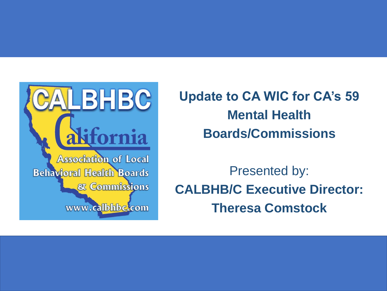

**Update to CA WIC for CA's 59 Mental Health Boards/Commissions**

Presented by: **CALBHB/C Executive Director: Theresa Comstock**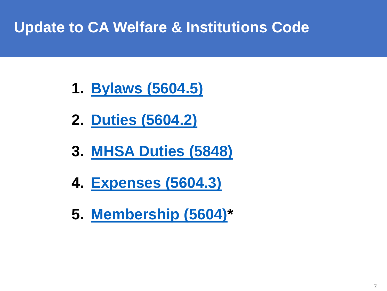### **Update to CA Welfare & Institutions Code**

- **1. [Bylaws \(5604.5\)](http://www.calbhbc.org/uploads/5/8/5/3/58536227/best_practices_-_bylaws.pdf)**
- **2. [Duties \(5604.2\)](http://www.calbhbc.org/uploads/5/8/5/3/58536227/best_practices_-_duties.pdf)**
- **3. [MHSA Duties \(5848\)](http://www.calbhbc.org/uploads/5/8/5/3/58536227/mhsa_duties_5848_update.pdf)**
- **4. [Expenses \(5604.3\)](http://www.calbhbc.org/uploads/5/8/5/3/58536227/best_practices_-_expenses.pdf)**
- **5. [Membership \(5604\)](http://www.calbhbc.org/uploads/5/8/5/3/58536227/best_practices_-_membership.pdf)\***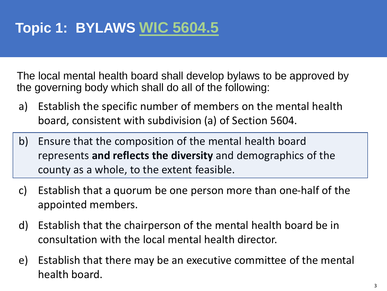The local mental health board shall develop bylaws to be approved by the governing body which shall do all of the following:

- a) Establish the specific number of members on the mental health board, consistent with subdivision (a) of Section 5604.
- b) Ensure that the composition of the mental health board represents **and reflects the diversity** and demographics of the county as a whole, to the extent feasible.
- c) Establish that a quorum be one person more than one-half of the appointed members.
- d) Establish that the chairperson of the mental health board be in consultation with the local mental health director.
- e) Establish that there may be an executive committee of the mental health board.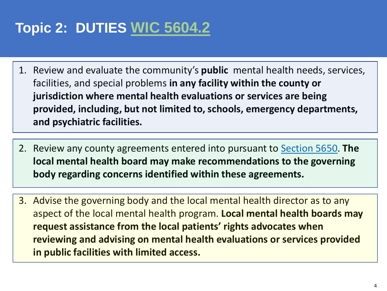## **Topic 2: DUTIES [WIC 5604.2](http://www.calbhbc.org/uploads/5/8/5/3/58536227/best_practices_-_duties.pdf)**

- 1. Review and evaluate the community's **public** mental health needs, services, facilities, and special problems **in any facility within the county or jurisdiction where mental health evaluations or services are being provided, including, but not limited to, schools, emergency departments, and psychiatric facilities.**
- 2. Review any county agreements entered into pursuant to [Section 5650](http://codes.findlaw.com/ca/welfare-and-institutions-code/wic-sect-5650.html). **The local mental health board may make recommendations to the governing body regarding concerns identified within these agreements.**
- 3. Advise the governing body and the local mental health director as to any aspect of the local mental health program. **Local mental health boards may request assistance from the local patients' rights advocates when reviewing and advising on mental health evaluations or services provided in public facilities with limited access.**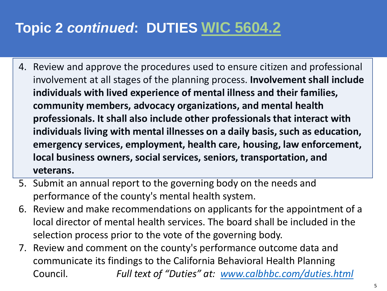### **Topic 2** *continued***: DUTIES [WIC 5604.2](http://www.calbhbc.org/uploads/5/8/5/3/58536227/best_practices_-_duties.pdf)**

- 4. Review and approve the procedures used to ensure citizen and professional involvement at all stages of the planning process. **Involvement shall include individuals with lived experience of mental illness and their families, community members, advocacy organizations, and mental health professionals. It shall also include other professionals that interact with individuals living with mental illnesses on a daily basis, such as education, emergency services, employment, health care, housing, law enforcement, local business owners, social services, seniors, transportation, and veterans.**
- 5. Submit an annual report to the governing body on the needs and performance of the county's mental health system.
- 6. Review and make recommendations on applicants for the appointment of a local director of mental health services. The board shall be included in the selection process prior to the vote of the governing body.
- 7. Review and comment on the county's performance outcome data and communicate its findings to the California Behavioral Health Planning Council. *Full text of "Duties" at: [www.calbhbc.com/duties.html](http://www.calbhbc.com/duties.html)*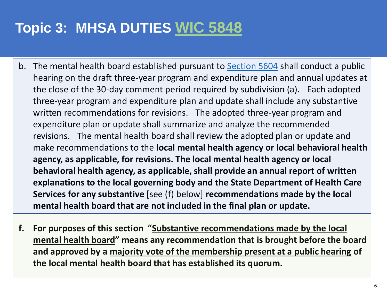### **Topic 3: MHSA DUTIES [WIC 5848](http://www.calbhbc.org/uploads/5/8/5/3/58536227/mhsa_duties_5848_update.pdf)**

- b. The mental health board established pursuant to **[Section 5604](https://1.next.westlaw.com/Link/Document/FullText?findType=L&originatingContext=document&transitionType=DocumentItem&pubNum=1000228&refType=LQ&originatingDoc=I820c4d20029f11e88670e77d497dbc01&cite=CAWIS5604)** shall conduct a public hearing on the draft three-year program and expenditure plan and annual updates at the close of the 30-day comment period required by subdivision (a). Each adopted three-year program and expenditure plan and update shall include any substantive written recommendations for revisions. The adopted three-year program and expenditure plan or update shall summarize and analyze the recommended revisions. The mental health board shall review the adopted plan or update and make recommendations to the **local mental health agency or local behavioral health agency, as applicable, for revisions. The local mental health agency or local behavioral health agency, as applicable, shall provide an annual report of written explanations to the local governing body and the State Department of Health Care Services for any substantive** [see (f) below] **recommendations made by the local mental health board that are not included in the final plan or update.**
- **f. For purposes of this section "Substantive recommendations made by the local mental health board" means any recommendation that is brought before the board and approved by a majority vote of the membership present at a public hearing of the local mental health board that has established its quorum.**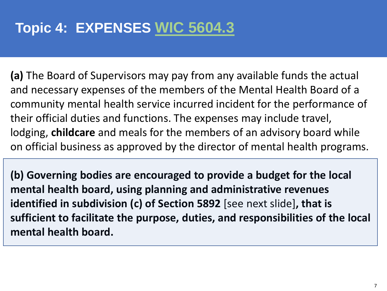### **Topic 4: EXPENSES [WIC 5604.3](http://www.calbhbc.org/uploads/5/8/5/3/58536227/best_practices_-_expenses.pdf)**

**(a)** The Board of Supervisors may pay from any available funds the actual and necessary expenses of the members of the Mental Health Board of a community mental health service incurred incident for the performance of their official duties and functions. The expenses may include travel, lodging, **childcare** and meals for the members of an advisory board while on official business as approved by the director of mental health programs.

**(b) Governing bodies are encouraged to provide a budget for the local mental health board, using planning and administrative revenues identified in subdivision (c) of Section 5892** [see next slide]**, that is sufficient to facilitate the purpose, duties, and responsibilities of the local mental health board.**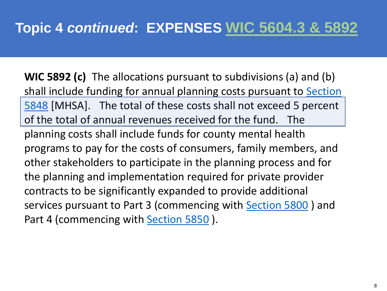**WIC 5892 (c)** The allocations pursuant to subdivisions (a) and (b) shall include funding for annual planning costs pursuant to Section 5848 [\[MHSA\]. The total of these costs shall not exceed 5 percent](https://1.next.westlaw.com/Link/Document/FullText?findType=L&originatingContext=document&transitionType=DocumentItem&pubNum=1000228&refType=LQ&originatingDoc=Id420d6011a4811e9b5428c649854027b&cite=CAWIS5848)  of the total of annual revenues received for the fund. The planning costs shall include funds for county mental health programs to pay for the costs of consumers, family members, and other stakeholders to participate in the planning process and for the planning and implementation required for private provider contracts to be significantly expanded to provide additional services pursuant to Part 3 (commencing with [Section 5800](https://1.next.westlaw.com/Link/Document/FullText?findType=L&originatingContext=document&transitionType=DocumentItem&pubNum=1000228&refType=LQ&originatingDoc=Id420d6021a4811e9b5428c649854027b&cite=CAWIS5800) ) and Part 4 (commencing with [Section 5850](https://1.next.westlaw.com/Link/Document/FullText?findType=L&originatingContext=document&transitionType=DocumentItem&pubNum=1000228&refType=LQ&originatingDoc=Id420d6031a4811e9b5428c649854027b&cite=CAWIS5850) ).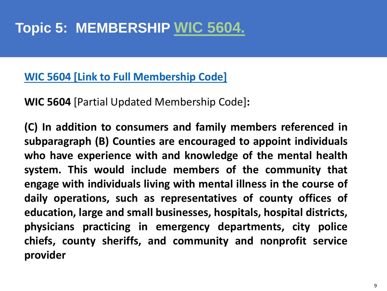#### **WIC 5604 [Link to Full [Membership](http://www.calbhbc.org/uploads/5/8/5/3/58536227/best_practices_-_membership.pdf) Code]**

**WIC 5604** [Partial Updated Membership Code]**:**

**(C) In addition to consumers and family members referenced in subparagraph (B) Counties are encouraged to appoint individuals who have experience with and knowledge of the mental health system. This would include members of the community that engage with individuals living with mental illness in the course of daily operations, such as representatives of county offices of education, large and small businesses, hospitals, hospital districts, physicians practicing in emergency departments, city police chiefs, county sheriffs, and community and nonprofit service provider**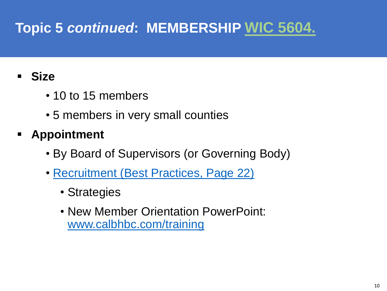### **Topic 5** *continued***: MEMBERSHIP [WIC 5604.](http://www.calbhbc.org/uploads/5/8/5/3/58536227/best_practices_-_membership.pdf)**

#### ▪ **Size**

- 10 to 15 members
- 5 members in very small counties
- **Appointment**
	- By Board of Supervisors (or Governing Body)
	- [Recruitment \(Best Practices, Page 22\)](http://www.calbhbc.org/uploads/5/8/5/3/58536227/best_practices_2019_-_rev._oct._9_2019.pdf)
		- Strategies
		- New Member Orientation PowerPoint: [www.calbhbc.com/training](http://www.calbhbc.com/training)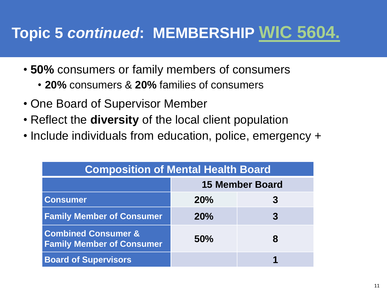# **Topic 5** *continued***: MEMBERSHIP [WIC 5604.](http://www.calbhbc.org/uploads/5/8/5/3/58536227/best_practices_-_membership.pdf)**

- **50%** consumers or family members of consumers
	- **20%** consumers & **20%** families of consumers
- One Board of Supervisor Member
- Reflect the **diversity** of the local client population
- Include individuals from education, police, emergency +

| <b>Composition of Mental Health Board</b>                          |                        |   |
|--------------------------------------------------------------------|------------------------|---|
|                                                                    | <b>15 Member Board</b> |   |
| <b>Consumer</b>                                                    | 20%                    | 3 |
| <b>Family Member of Consumer</b>                                   | 20%                    |   |
| <b>Combined Consumer &amp;</b><br><b>Family Member of Consumer</b> | 50%                    | 8 |
| <b>Board of Supervisors</b>                                        |                        |   |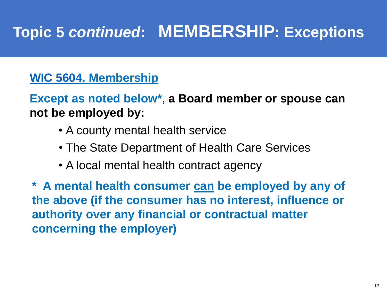# **Topic 5** *continued***: MEMBERSHIP: Exceptions**

#### **[WIC 5604.](http://www.calbhbc.org/uploads/5/8/5/3/58536227/best_practices_-_membership.pdf) Membership**

**Except as noted below\***, **a Board member or spouse can not be employed by:**

- A county mental health service
- The State Department of Health Care Services
- A local mental health contract agency

**\* A mental health consumer can be employed by any of the above (if the consumer has no interest, influence or authority over any financial or contractual matter concerning the employer)**